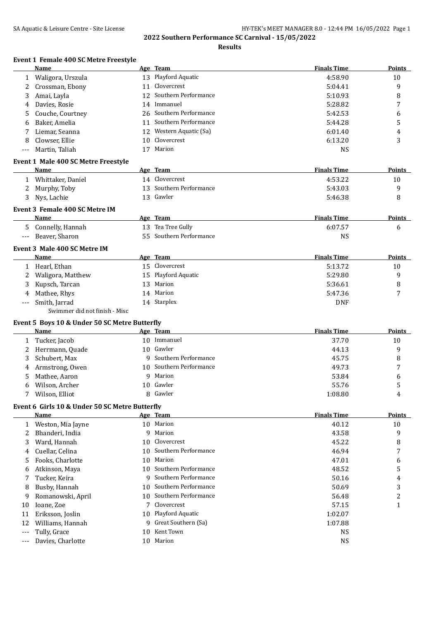**Results**

#### **Event 1 Female 400 SC Metre Freestyle**

|              | Name                                           |                 | Age Team                | <b>Finals Time</b> | <b>Points</b> |
|--------------|------------------------------------------------|-----------------|-------------------------|--------------------|---------------|
| $\mathbf{1}$ | Waligora, Urszula                              |                 | 13 Playford Aquatic     | 4:58.90            | 10            |
| 2            | Crossman, Ebony                                | 11              | Clovercrest             | 5:04.41            | 9             |
| 3            | Amai, Layla                                    | 12              | Southern Performance    | 5:10.93            | 8             |
| 4            | Davies, Rosie                                  |                 | 14 Immanuel             | 5:28.82            | 7             |
| 5            | Couche, Courtney                               | 26              | Southern Performance    | 5:42.53            | 6             |
| 6            | Baker, Amelia                                  | 11              | Southern Performance    | 5:44.28            | 5             |
|              | Liemar, Seanna                                 |                 | 12 Western Aquatic (Sa) | 6:01.40            | 4             |
| 8            | Clowser, Ellie                                 | 10 <sup>1</sup> | Clovercrest             | 6:13.20            | 3             |
| ---          | Martin, Taliah                                 |                 | 17 Marion               | <b>NS</b>          |               |
|              |                                                |                 |                         |                    |               |
|              | Event 1 Male 400 SC Metre Freestyle            |                 |                         |                    |               |
|              | <b>Name</b>                                    |                 | Age Team                | <b>Finals Time</b> | <b>Points</b> |
|              | 1 Whittaker, Daniel                            |                 | 14 Clovercrest          | 4:53.22            | 10            |
| 2            | Murphy, Toby                                   |                 | 13 Southern Performance | 5:43.03            | 9             |
| 3            | Nys, Lachie                                    |                 | 13 Gawler               | 5:46.38            | 8             |
|              | Event 3 Female 400 SC Metre IM                 |                 |                         |                    |               |
|              | Name                                           |                 | Age Team                | <b>Finals Time</b> | Points        |
| 5.           | Connelly, Hannah                               |                 | 13 Tea Tree Gully       | 6:07.57            | 6             |
| $---$        | Beaver, Sharon                                 |                 | 55 Southern Performance | <b>NS</b>          |               |
|              | Event 3 Male 400 SC Metre IM                   |                 |                         |                    |               |
|              | Name                                           |                 | Age Team                | <b>Finals Time</b> | Points        |
|              | 1 Hearl, Ethan                                 |                 | 15 Clovercrest          | 5:13.72            | 10            |
|              | Waligora, Matthew                              |                 | 15 Playford Aquatic     | 5:29.80            | 9             |
| 2            |                                                |                 | Marion                  | 5:36.61            |               |
| 3            | Kupsch, Tarcan                                 | 13              |                         |                    | 8             |
|              | Mathee, Rhys                                   |                 | 14 Marion               | 5:47.36            | 7             |
| ---          | Smith, Jarrad                                  |                 | 14 Starplex             | <b>DNF</b>         |               |
|              | Swimmer did not finish - Misc                  |                 |                         |                    |               |
|              | Event 5 Boys 10 & Under 50 SC Metre Butterfly  |                 |                         |                    |               |
|              | Name                                           |                 | Age Team                | <b>Finals Time</b> | Points        |
| 1            | Tucker, Jacob                                  |                 | 10 Immanuel             | 37.70              | 10            |
| 2            | Herrmann, Quade                                |                 | 10 Gawler               | 44.13              | 9             |
| 3            | Schubert, Max                                  | q               | Southern Performance    | 45.75              | 8             |
|              | Armstrong, Owen                                |                 | 10 Southern Performance | 49.73              | 7             |
| 5            | Mathee, Aaron                                  | 9               | Marion                  | 53.84              | 6             |
| 6            | Wilson, Archer                                 |                 | 10 Gawler               | 55.76              | 5             |
|              | Wilson, Elliot                                 |                 | 8 Gawler                | 1:08.80            | 4             |
|              | Event 6 Girls 10 & Under 50 SC Metre Butterfly |                 |                         |                    |               |
|              | Name                                           |                 | Age Team                | <b>Finals Time</b> | Points        |
| 1            | Weston, Mia Jayne                              |                 | 10 Marion               | 40.12              | 10            |
| 2            | Bhanderi, India                                | 9               | Marion                  | 43.58              | 9             |
| 3            | Ward, Hannah                                   | 10              | Clovercrest             | 45.22              | 8             |
| 4            | Cuellar, Celina                                | 10              | Southern Performance    | 46.94              | 7             |
| 5            | Fooks, Charlotte                               | 10              | Marion                  | 47.01              | 6             |
|              | Atkinson, Maya                                 | 10.             | Southern Performance    | 48.52              | 5             |
| 6            |                                                | 9               | Southern Performance    |                    |               |
| 7            | Tucker, Keira                                  |                 | Southern Performance    | 50.16              | 4             |
| 8            | Busby, Hannah                                  | 10              |                         | 50.69              | 3             |
| 9            | Romanowski, April                              | 10              | Southern Performance    | 56.48              | 2             |
| 10           | Ioane, Zoe                                     | 7               | Clovercrest             | 57.15              | 1             |
| 11           | Eriksson, Joslin                               |                 | 10 Playford Aquatic     | 1:02.07            |               |
| 12           | Williams, Hannah                               |                 | 9 Great Southern (Sa)   | 1:07.88            |               |
| $---$        | Tully, Grace                                   | 10              | Kent Town               | <b>NS</b>          |               |
| ---          | Davies, Charlotte                              |                 | 10 Marion               | <b>NS</b>          |               |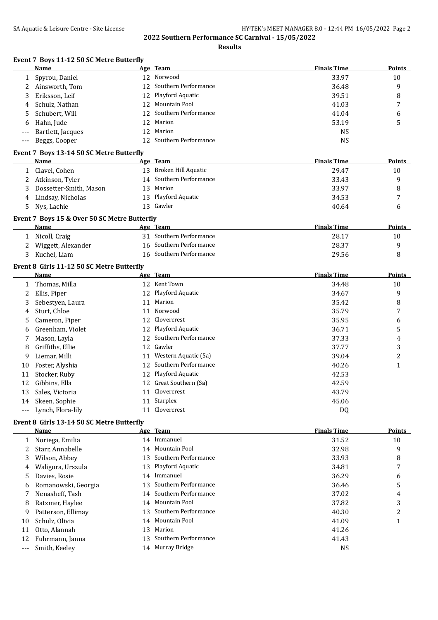|                          | Event 7 Boys 11-12 50 SC Metre Butterfly<br>Name |    | Age Team                | <b>Finals Time</b> | Points         |
|--------------------------|--------------------------------------------------|----|-------------------------|--------------------|----------------|
| $\mathbf{1}$             | Spyrou, Daniel                                   |    | 12 Norwood              | 33.97              | 10             |
| 2                        | Ainsworth, Tom                                   | 12 | Southern Performance    | 36.48              | 9              |
| 3                        | Eriksson, Leif                                   | 12 | Playford Aquatic        | 39.51              | 8              |
| 4                        | Schulz, Nathan                                   | 12 | Mountain Pool           | 41.03              | 7              |
| 5                        | Schubert, Will                                   | 12 | Southern Performance    | 41.04              | 6              |
| 6                        | Hahn, Jude                                       | 12 | Marion                  | 53.19              | 5              |
|                          | Bartlett, Jacques                                | 12 | Marion                  | <b>NS</b>          |                |
| $---$                    | Beggs, Cooper                                    |    | 12 Southern Performance | <b>NS</b>          |                |
|                          |                                                  |    |                         |                    |                |
|                          | Event 7 Boys 13-14 50 SC Metre Butterfly<br>Name |    | Age Team                | <b>Finals Time</b> | <b>Points</b>  |
| 1                        | Clavel, Cohen                                    |    | 13 Broken Hill Aquatic  | 29.47              | 10             |
| 2                        | Atkinson, Tyler                                  | 14 | Southern Performance    | 33.43              | 9              |
| 3                        | Dossetter-Smith, Mason                           | 13 | Marion                  | 33.97              | 8              |
|                          | Lindsay, Nicholas                                | 13 | Playford Aquatic        | 34.53              | 7              |
| 4<br>5                   | Nys, Lachie                                      |    | 13 Gawler               | 40.64              | 6              |
|                          |                                                  |    |                         |                    |                |
|                          | Event 7 Boys 15 & Over 50 SC Metre Butterfly     |    |                         |                    |                |
|                          | Name                                             |    | Age Team                | <b>Finals Time</b> | <b>Points</b>  |
| 1                        | Nicoll, Craig                                    |    | 31 Southern Performance | 28.17              | 10             |
| 2                        | Wiggett, Alexander                               |    | 16 Southern Performance | 28.37              | 9              |
| 3                        | Kuchel, Liam                                     |    | 16 Southern Performance | 29.56              | 8              |
|                          | Event 8 Girls 11-12 50 SC Metre Butterfly        |    |                         |                    |                |
|                          | Name                                             |    | Age Team                | <b>Finals Time</b> | Points         |
|                          | 1 Thomas, Milla                                  |    | 12 Kent Town            | 34.48              | 10             |
| 2                        | Ellis, Piper                                     |    | 12 Playford Aquatic     | 34.67              | 9              |
| 3                        | Sebestyen, Laura                                 |    | 11 Marion               | 35.42              | 8              |
| 4                        | Sturt, Chloe                                     | 11 | Norwood                 | 35.79              | 7              |
| 5                        | Cameron, Piper                                   |    | 12 Clovercrest          | 35.95              | 6              |
| 6                        | Greenham, Violet                                 |    | 12 Playford Aquatic     | 36.71              | 5              |
| 7                        | Mason, Layla                                     | 12 | Southern Performance    | 37.33              | 4              |
| 8                        | Griffiths, Ellie                                 | 12 | Gawler                  | 37.77              | 3              |
| 9                        | Liemar, Milli                                    |    | 11 Western Aquatic (Sa) | 39.04              | $\overline{c}$ |
| 10                       | Foster, Alyshia                                  | 12 | Southern Performance    | 40.26              | $\mathbf{1}$   |
| 11                       | Stocker, Ruby                                    |    | 12 Playford Aquatic     | 42.53              |                |
| 12                       | Gibbins, Ella                                    |    | 12 Great Southern (Sa)  | 42.59              |                |
| 13                       | Sales, Victoria                                  |    | 11 Clovercrest          | 43.79              |                |
| 14                       | Skeen, Sophie                                    |    | 11 Starplex             | 45.06              |                |
| $\scriptstyle{\cdots}$ . | Lynch, Flora-lily                                |    | 11 Clovercrest          | DQ                 |                |
|                          | Event 8 Girls 13-14 50 SC Metre Butterfly        |    |                         |                    |                |
|                          | Name                                             |    | Age Team                | <b>Finals Time</b> | <b>Points</b>  |
| 1                        | Noriega, Emilia                                  |    | 14 Immanuel             | 31.52              | 10             |
| 2                        | Starr, Annabelle                                 | 14 | <b>Mountain Pool</b>    | 32.98              | 9              |
| 3                        | Wilson, Abbey                                    | 13 | Southern Performance    | 33.93              | 8              |
| 4                        | Waligora, Urszula                                | 13 | Playford Aquatic        | 34.81              | 7              |
| 5                        | Davies, Rosie                                    | 14 | Immanuel                | 36.29              | 6              |
| 6                        | Romanowski, Georgia                              | 13 | Southern Performance    | 36.46              | 5              |
| 7                        | Nenasheff, Tash                                  | 14 | Southern Performance    | 37.02              | 4              |
| 8                        | Ratzmer, Haylee                                  | 14 | Mountain Pool           | 37.82              | 3              |
| 9                        | Patterson, Ellimay                               | 13 | Southern Performance    | 40.30              | $\overline{c}$ |
| 10                       | Schulz, Olivia                                   | 14 | Mountain Pool           | 41.09              | 1              |
|                          | Otto, Alannah                                    | 13 | Marion                  | 41.26              |                |
| 11                       |                                                  |    |                         |                    |                |
| 12                       | Fuhrmann, Janna                                  | 13 | Southern Performance    | 41.43              |                |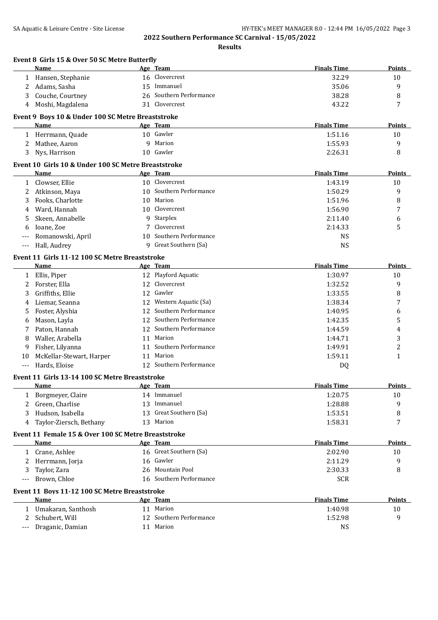| Event 8 Girls 15 & Over 50 SC Metre Butterfly<br><b>Name</b> |    | Age Team                | <b>Finals Time</b> | Points        |
|--------------------------------------------------------------|----|-------------------------|--------------------|---------------|
| 1 Hansen, Stephanie                                          |    | 16 Clovercrest          | 32.29              | 10            |
| Adams, Sasha<br>2                                            | 15 | Immanuel                | 35.06              | 9             |
| Couche, Courtney<br>3                                        |    | 26 Southern Performance | 38.28              | 8             |
| 4 Moshi, Magdalena                                           |    | 31 Clovercrest          | 43.22              | 7             |
| Event 9 Boys 10 & Under 100 SC Metre Breaststroke            |    |                         |                    |               |
| Name                                                         |    | Age Team                | <b>Finals Time</b> | <b>Points</b> |
| Herrmann, Quade<br>1                                         |    | 10 Gawler               | 1:51.16            | 10            |
| Mathee, Aaron<br>2                                           | 9  | Marion                  | 1:55.93            | 9             |
| 3<br>Nys, Harrison                                           |    | 10 Gawler               | 2:26.31            | 8             |
| Event 10 Girls 10 & Under 100 SC Metre Breaststroke          |    |                         |                    |               |
| Name                                                         |    | Age Team                | <b>Finals Time</b> | Points        |
| Clowser, Ellie<br>$\mathbf{1}$                               |    | 10 Clovercrest          | 1:43.19            | 10            |
| Atkinson, Maya<br>2                                          |    | 10 Southern Performance | 1:50.29            | 9             |
| Fooks, Charlotte<br>3                                        | 10 | Marion                  | 1:51.96            | 8             |
| Ward, Hannah<br>4                                            | 10 | Clovercrest             | 1:56.90            | 7             |
| Skeen, Annabelle<br>5                                        | 9  | Starplex                | 2:11.40            | 6             |
| Ioane, Zoe<br>6                                              | 7  | Clovercrest             | 2:14.33            | 5             |
| Romanowski, April                                            | 10 | Southern Performance    | <b>NS</b>          |               |
| Hall, Audrey<br>---                                          |    | 9 Great Southern (Sa)   | <b>NS</b>          |               |
| Event 11 Girls 11-12 100 SC Metre Breaststroke               |    |                         |                    |               |
| Name                                                         |    | Age Team                | <b>Finals Time</b> | <b>Points</b> |
| Ellis, Piper<br>$\mathbf{1}$                                 |    | 12 Playford Aquatic     | 1:30.97            | 10            |
| Forster, Ella<br>2                                           | 12 | Clovercrest             | 1:32.52            | 9             |
| Griffiths, Ellie<br>3                                        | 12 | Gawler                  | 1:33.55            | 8             |
| Liemar, Seanna<br>4                                          | 12 | Western Aquatic (Sa)    | 1:38.34            | 7             |
| Foster, Alyshia<br>5                                         | 12 | Southern Performance    | 1:40.95            | 6             |
| Mason, Layla<br>6                                            | 12 | Southern Performance    | 1:42.35            | 5             |
| Paton, Hannah<br>7                                           | 12 | Southern Performance    | 1:44.59            | 4             |
| Waller, Arabella<br>8                                        | 11 | Marion                  | 1:44.71            | 3             |
| Fisher, Lilyanna<br>9                                        |    | 11 Southern Performance | 1:49.91            | 2             |
| McKellar-Stewart, Harper<br>10                               |    | 11 Marion               | 1:59.11            | 1             |
| Hards, Eloise<br>$\overline{a}$                              |    | 12 Southern Performance | DQ                 |               |
| Event 11 Girls 13-14 100 SC Metre Breaststroke               |    |                         |                    |               |
| <u>Name</u>                                                  |    | <u>Age Team</u>         | <b>Finals Time</b> | <u>Points</u> |
| Borgmeyer, Claire<br>1                                       |    | 14 Immanuel             | 1:20.75            | 10            |
| Green, Charlise<br>2                                         | 13 | Immanuel                | 1:28.88            | 9             |
| Hudson, Isabella<br>3                                        |    | 13 Great Southern (Sa)  | 1:53.51            | 8             |
| Taylor-Ziersch, Bethany<br>4                                 |    | 13 Marion               | 1:58.31            | 7             |
| Event 11 Female 15 & Over 100 SC Metre Breaststroke          |    |                         |                    |               |
| <b>Name</b>                                                  |    | Age Team                | <b>Finals Time</b> | <b>Points</b> |
| Crane, Ashlee<br>1                                           |    | 16 Great Southern (Sa)  | 2:02.90            | 10            |
| Herrmann, Jorja<br>2                                         |    | 16 Gawler               | 2:11.29            | 9             |
| Taylor, Zara<br>3                                            |    | 26 Mountain Pool        | 2:30.33            | 8             |
| Brown, Chloe<br>$---$                                        |    | 16 Southern Performance | <b>SCR</b>         |               |
| Event 11 Boys 11-12 100 SC Metre Breaststroke                |    |                         |                    |               |
| Name                                                         |    | Age Team                | <b>Finals Time</b> | <b>Points</b> |
| 1 Umakaran, Santhosh                                         |    | 11 Marion               | 1:40.98            | 10            |
| Schubert, Will<br>2                                          |    | 12 Southern Performance | 1:52.98            | 9             |
| Draganic, Damian                                             |    | 11 Marion               | <b>NS</b>          |               |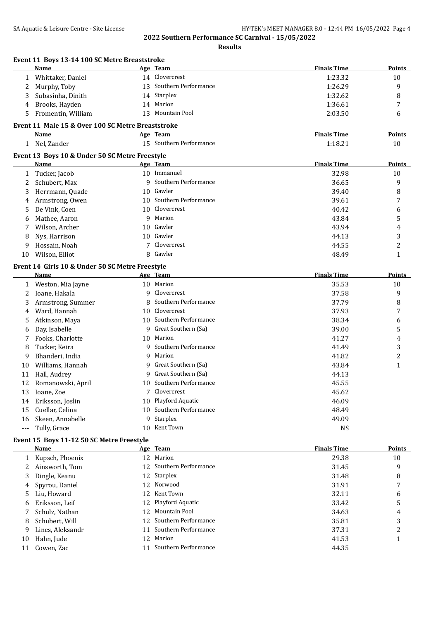|              | Event 11 Boys 13-14 100 SC Metre Breaststroke<br>Name     |    | Age Team                | <b>Finals Time</b> | Points         |
|--------------|-----------------------------------------------------------|----|-------------------------|--------------------|----------------|
| 1            | Whittaker, Daniel                                         |    | 14 Clovercrest          | 1:23.32            | 10             |
| 2            | Murphy, Toby                                              |    | 13 Southern Performance | 1:26.29            | 9              |
| 3            | Subasinha, Dinith                                         |    | 14 Starplex             | 1:32.62            | 8              |
| 4            | Brooks, Hayden                                            |    | 14 Marion               | 1:36.61            | 7              |
| 5            | Fromentin, William                                        |    | 13 Mountain Pool        | 2:03.50            | 6              |
|              |                                                           |    |                         |                    |                |
|              | Event 11 Male 15 & Over 100 SC Metre Breaststroke<br>Name |    | Age Team                | <b>Finals Time</b> | Points         |
|              | 1 Nel, Zander                                             |    | 15 Southern Performance | 1:18.21            | 10             |
|              |                                                           |    |                         |                    |                |
|              | Event 13 Boys 10 & Under 50 SC Metre Freestyle<br>Name    |    | Age Team                | <b>Finals Time</b> | <b>Points</b>  |
| 1            | Tucker, Jacob                                             |    | 10 Immanuel             | 32.98              | 10             |
| 2            | Schubert, Max                                             | q  | Southern Performance    | 36.65              | 9              |
| 3            | Herrmann, Quade                                           |    | 10 Gawler               | 39.40              | 8              |
|              | Armstrong, Owen                                           | 10 | Southern Performance    | 39.61              | 7              |
| 4<br>5       | De Vink, Coen                                             | 10 | Clovercrest             | 40.42              | 6              |
| 6            | Mathee, Aaron                                             | q  | Marion                  | 43.84              | 5              |
| 7            | Wilson, Archer                                            |    | 10 Gawler               | 43.94              | 4              |
|              | Nys, Harrison                                             | 10 | Gawler                  | 44.13              | 3              |
| 8            |                                                           |    | Clovercrest             | 44.55              | $\overline{c}$ |
| 9            | Hossain, Noah<br>Wilson, Elliot                           |    | 8 Gawler                | 48.49              | $\mathbf{1}$   |
| 10           |                                                           |    |                         |                    |                |
|              | Event 14 Girls 10 & Under 50 SC Metre Freestyle           |    |                         |                    |                |
|              | Name                                                      |    | Age Team                | <b>Finals Time</b> | Points         |
| 1            | Weston, Mia Jayne                                         |    | 10 Marion               | 35.53              | 10             |
| 2            | Ioane, Hakala                                             | 9  | Clovercrest             | 37.58              | 9              |
| 3            | Armstrong, Summer                                         | 8  | Southern Performance    | 37.79              | 8              |
| 4            | Ward, Hannah                                              | 10 | Clovercrest             | 37.93              | 7              |
| 5            | Atkinson, Maya                                            |    | 10 Southern Performance | 38.34              | 6              |
| 6            | Day, Isabelle                                             | 9  | Great Southern (Sa)     | 39.00              | 5              |
| 7            | Fooks, Charlotte                                          |    | 10 Marion               | 41.27              | 4              |
| 8            | Tucker, Keira                                             |    | 9 Southern Performance  | 41.49              | 3              |
| 9            | Bhanderi, India                                           | 9  | Marion                  | 41.82              | $\overline{c}$ |
| 10           | Williams, Hannah                                          | 9  | Great Southern (Sa)     | 43.84              | 1              |
| 11           | Hall, Audrey                                              | 9  | Great Southern (Sa)     | 44.13              |                |
| 12           | Romanowski, April                                         |    | 10 Southern Performance | 45.55              |                |
| 13           | Ioane, Zoe                                                |    | 7 Clovercrest           | 45.62              |                |
| 14           | Eriksson, Joslin                                          |    | 10 Playford Aquatic     | 46.09              |                |
| 15           | Cuellar, Celina                                           |    | 10 Southern Performance | 48.49              |                |
| 16           | Skeen, Annabelle                                          |    | 9 Starplex              | 49.09              |                |
| $---$        | Tully, Grace                                              |    | 10 Kent Town            | <b>NS</b>          |                |
|              | Event 15 Boys 11-12 50 SC Metre Freestyle                 |    |                         |                    |                |
|              | Name                                                      |    | Age Team                | <b>Finals Time</b> | <b>Points</b>  |
| $\mathbf{1}$ | Kupsch, Phoenix                                           |    | 12 Marion               | 29.38              | 10             |
| 2            | Ainsworth, Tom                                            |    | 12 Southern Performance | 31.45              | 9              |
| 3            | Dingle, Keanu                                             |    | 12 Starplex             | 31.48              | 8              |
| 4            | Spyrou, Daniel                                            | 12 | Norwood                 | 31.91              | 7              |
| 5            | Liu, Howard                                               | 12 | Kent Town               | 32.11              | 6              |
| 6            | Eriksson, Leif                                            | 12 | Playford Aquatic        | 33.42              | 5              |
| 7            | Schulz, Nathan                                            | 12 | Mountain Pool           | 34.63              | 4              |
| 8            | Schubert, Will                                            | 12 | Southern Performance    | 35.81              | 3              |
| 9            | Lines, Aleksandr                                          |    | 11 Southern Performance | 37.31              | 2              |
| 10           | Hahn, Jude                                                |    | 12 Marion               | 41.53              | 1              |
|              | Cowen, Zac                                                |    | 11 Southern Performance | 44.35              |                |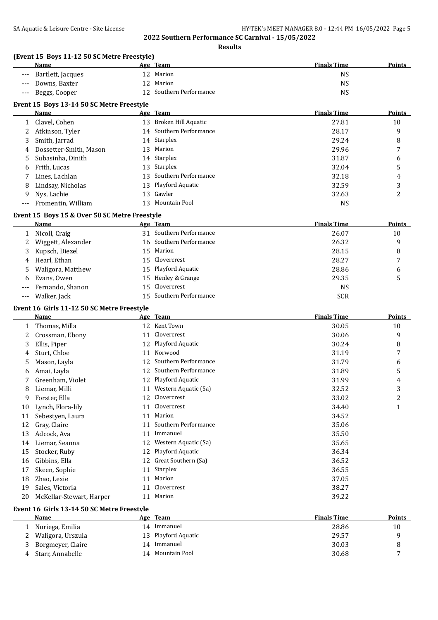**Results**

# **(Event 15 Boys 11-12 50 SC Metre Freestyle)**

|     | Name              | Age | Team                    | <b>Finals Time</b> | <b>Points</b> |
|-----|-------------------|-----|-------------------------|--------------------|---------------|
| --- | Bartlett, Jacques |     | 12 Marion               | NS                 |               |
| --- | Downs, Baxter     |     | 12 Marion               | <b>NS</b>          |               |
| --- | Beggs, Cooper     |     | 12 Southern Performance | <b>NS</b>          |               |
|     | .                 |     |                         |                    |               |

# **Event 15 Boys 13-14 50 SC Metre Freestyle**

|     | <b>Name</b>              |    | Age Team                | <b>Finals Time</b> | Points  |
|-----|--------------------------|----|-------------------------|--------------------|---------|
|     | Clavel, Cohen            |    | 13 Broken Hill Aquatic  | 27.81              | 10      |
| 2   | Atkinson, Tyler          |    | 14 Southern Performance | 28.17              | 9       |
|     | Smith, Jarrad            |    | 14 Starplex             | 29.24              | 8       |
|     | 4 Dossetter-Smith, Mason | 13 | Marion                  | 29.96              |         |
|     | Subasinha, Dinith        |    | 14 Starplex             | 31.87              | 6       |
| 6   | Frith, Lucas             |    | 13 Starplex             | 32.04              | 5       |
|     | Lines, Lachlan           |    | 13 Southern Performance | 32.18              | 4       |
| 8   | Lindsay, Nicholas        |    | 13 Playford Aquatic     | 32.59              | 3       |
| 9.  | Nys, Lachie              |    | 13 Gawler               | 32.63              | ົາ<br>∠ |
| --- | Fromentin, William       | 13 | Mountain Pool           | <b>NS</b>          |         |

#### **Event 15 Boys 15 & Over 50 SC Metre Freestyle**

| Name                 | Age Team                | <b>Finals Time</b> | <b>Points</b>  |
|----------------------|-------------------------|--------------------|----------------|
| Nicoll, Craig        | 31 Southern Performance | 26.07              | 10             |
| 2 Wiggett, Alexander | 16 Southern Performance | 26.32              | 9              |
| 3 Kupsch, Diezel     | 15 Marion               | 28.15              | 8              |
| 4 Hearl, Ethan       | 15 Clovercrest          | 28.27              | $\overline{ }$ |
| 5 Waligora, Matthew  | 15 Playford Aquatic     | 28.86              | 6              |
| 6 Evans, Owen        | 15 Henley & Grange      | 29.35              |                |
| --- Fernando, Shanon | 15 Clovercrest          | <b>NS</b>          |                |
| --- Walker, Jack     | 15 Southern Performance | <b>SCR</b>         |                |

#### **Event 16 Girls 11-12 50 SC Metre Freestyle**

|    | Name                     |    | Age Team             | <b>Finals Time</b> | <b>Points</b>  |
|----|--------------------------|----|----------------------|--------------------|----------------|
|    | Thomas, Milla            | 12 | Kent Town            | 30.05              | 10             |
|    | Crossman, Ebony          | 11 | Clovercrest          | 30.06              | 9              |
| 3  | Ellis, Piper             | 12 | Playford Aquatic     | 30.24              | 8              |
| 4  | Sturt, Chloe             | 11 | Norwood              | 31.19              | 7              |
| 5  | Mason, Layla             | 12 | Southern Performance | 31.79              | 6              |
| 6  | Amai, Layla              | 12 | Southern Performance | 31.89              | 5              |
|    | Greenham, Violet         | 12 | Playford Aquatic     | 31.99              | 4              |
| 8  | Liemar, Milli            | 11 | Western Aquatic (Sa) | 32.52              | 3              |
| 9  | Forster, Ella            | 12 | Clovercrest          | 33.02              | $\overline{c}$ |
| 10 | Lynch, Flora-lily        | 11 | Clovercrest          | 34.40              | 1              |
| 11 | Sebestyen, Laura         | 11 | Marion               | 34.52              |                |
| 12 | Gray, Claire             | 11 | Southern Performance | 35.06              |                |
| 13 | Adcock, Ava              | 11 | Immanuel             | 35.50              |                |
| 14 | Liemar, Seanna           | 12 | Western Aquatic (Sa) | 35.65              |                |
| 15 | Stocker, Ruby            | 12 | Playford Aquatic     | 36.34              |                |
| 16 | Gibbins, Ella            | 12 | Great Southern (Sa)  | 36.52              |                |
| 17 | Skeen, Sophie            | 11 | Starplex             | 36.55              |                |
| 18 | Zhao, Lexie              | 11 | Marion               | 37.05              |                |
| 19 | Sales, Victoria          | 11 | Clovercrest          | 38.27              |                |
| 20 | McKellar-Stewart, Harper | 11 | Marion               | 39.22              |                |
|    |                          |    |                      |                    |                |

#### **Event 16 Girls 13-14 50 SC Metre Freestyle**

|   | Name              | Age | <b>Team</b>         | <b>Finals Time</b> | <b>Points</b> |
|---|-------------------|-----|---------------------|--------------------|---------------|
|   | Noriega, Emilia   | 14  | Immanuel            | 28.86              | 10            |
| 2 | Waligora, Urszula |     | 13 Playford Aquatic | 29.57              |               |
|   | Borgmeyer, Claire | 14  | Immanuel            | 30.03              |               |
| Д | Starr, Annabelle  |     | 14 Mountain Pool    | 30.68              |               |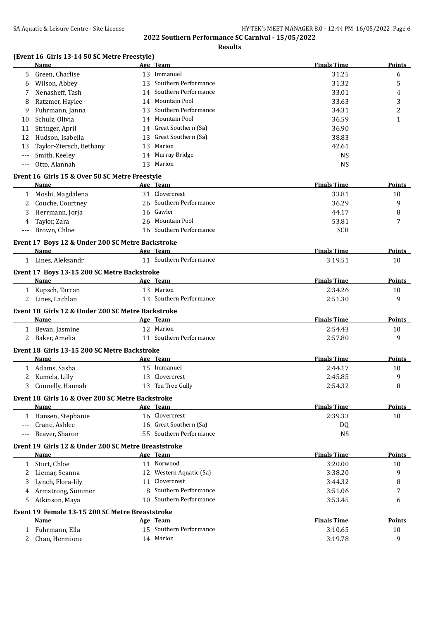# **Results**

# **(Event 16 Girls 13-14 50 SC Metre Freestyle)**

|       | Name                                                     |    | Age Team                                 | <b>Finals Time</b> | <b>Points</b> |
|-------|----------------------------------------------------------|----|------------------------------------------|--------------------|---------------|
| 5.    | Green, Charlise                                          |    | 13 Immanuel                              | 31.25              | 6             |
| 6     | Wilson, Abbey                                            |    | 13 Southern Performance                  | 31.32              | 5             |
| 7     | Nenasheff, Tash                                          |    | 14 Southern Performance                  | 33.01              | 4             |
| 8     | Ratzmer, Haylee                                          | 14 | Mountain Pool                            | 33.63              | 3             |
| 9     | Fuhrmann, Janna                                          | 13 | Southern Performance                     | 34.31              | 2             |
| 10    | Schulz, Olivia                                           | 14 | Mountain Pool                            | 36.59              | 1             |
| 11    | Stringer, April                                          |    | 14 Great Southern (Sa)                   | 36.90              |               |
| 12    | Hudson, Isabella                                         |    | 13 Great Southern (Sa)                   | 38.83              |               |
| 13    | Taylor-Ziersch, Bethany                                  | 13 | Marion                                   | 42.61              |               |
|       | Smith, Keeley                                            |    | 14 Murray Bridge                         | <b>NS</b>          |               |
| $---$ | Otto, Alannah                                            |    | 13 Marion                                | <b>NS</b>          |               |
|       | Event 16 Girls 15 & Over 50 SC Metre Freestyle           |    |                                          |                    |               |
|       | Name                                                     |    | Age Team                                 | <b>Finals Time</b> | <b>Points</b> |
|       | 1 Moshi, Magdalena                                       |    | 31 Clovercrest                           | 33.81              | 10            |
| 2     | Couche, Courtney                                         |    | 26 Southern Performance                  | 36.29              | 9             |
| 3     | Herrmann, Jorja                                          | 16 | Gawler                                   | 44.17              | 8             |
| 4     | Taylor, Zara                                             |    | 26 Mountain Pool                         | 53.81              | 7             |
| $---$ | Brown, Chloe                                             |    | 16 Southern Performance                  | <b>SCR</b>         |               |
|       | Event 17 Boys 12 & Under 200 SC Metre Backstroke         |    |                                          |                    |               |
|       | Name                                                     |    | Age Team                                 | <b>Finals Time</b> | Points        |
|       | 1 Lines, Aleksandr                                       |    | 11 Southern Performance                  | 3:19.51            | 10            |
|       | Event 17 Boys 13-15 200 SC Metre Backstroke              |    |                                          |                    |               |
|       | Name                                                     |    | Age Team                                 | <b>Finals Time</b> | Points        |
|       | 1 Kupsch, Tarcan                                         |    | 13 Marion                                | 2:34.26            | 10            |
|       | 2 Lines, Lachlan                                         |    | 13 Southern Performance                  | 2:51.30            | 9             |
|       | Event 18 Girls 12 & Under 200 SC Metre Backstroke        |    |                                          |                    |               |
|       | Name                                                     |    | Age Team                                 | <b>Finals Time</b> | <b>Points</b> |
|       | 1 Bevan, Jasmine                                         |    | 12 Marion                                | 2:54.43            | 10            |
|       | 2 Baker, Amelia                                          |    | 11 Southern Performance                  | 2:57.80            | 9             |
|       | Event 18 Girls 13-15 200 SC Metre Backstroke             |    |                                          |                    |               |
|       | Name                                                     |    | Age Team                                 | <b>Finals Time</b> | <b>Points</b> |
|       | 1 Adams, Sasha                                           |    | 15 Immanuel                              | 2:44.17            | 10            |
| 2     | Kumela, Lilly                                            |    | 13 Clovercrest                           | 2:45.85            | 9             |
| 3     | Connelly, Hannah                                         |    | 13 Tea Tree Gully                        | 2:54.32            | 8             |
|       |                                                          |    |                                          |                    |               |
|       | Event 18 Girls 16 & Over 200 SC Metre Backstroke<br>Name |    | Age Team                                 | <b>Finals Time</b> | Points        |
|       | 1 Hansen, Stephanie                                      |    | 16 Clovercrest                           | 2:39.33            | 10            |
| $---$ | Crane, Ashlee                                            |    | 16 Great Southern (Sa)                   | DQ                 |               |
|       | Beaver, Sharon                                           |    | 55 Southern Performance                  | <b>NS</b>          |               |
|       |                                                          |    |                                          |                    |               |
|       | Event 19 Girls 12 & Under 200 SC Metre Breaststroke      |    |                                          |                    |               |
|       | Name                                                     |    | Age Team                                 | <b>Finals Time</b> | <b>Points</b> |
|       | 1 Sturt, Chloe                                           |    | 11 Norwood                               | 3:20.00            | 10            |
| 2     | Liemar, Seanna                                           |    | 12 Western Aquatic (Sa)                  | 3:38.20            | 9             |
| 3     | Lynch, Flora-lily                                        |    | 11 Clovercrest<br>8 Southern Performance | 3:44.32            | 8             |
|       | 4 Armstrong, Summer                                      |    | 10 Southern Performance                  | 3:51.06            | 7             |
| 5.    | Atkinson, Maya                                           |    |                                          | 3:53.45            | 6             |
|       | Event 19 Female 13-15 200 SC Metre Breaststroke          |    |                                          |                    |               |
|       | Name                                                     |    | Age Team                                 | <b>Finals Time</b> | Points        |
|       | 1 Fuhrmann, Ella                                         |    | 15 Southern Performance                  | 3:10.65            | 10            |
|       | 2 Chan, Hermione                                         |    | 14 Marion                                | 3:19.78            | 9             |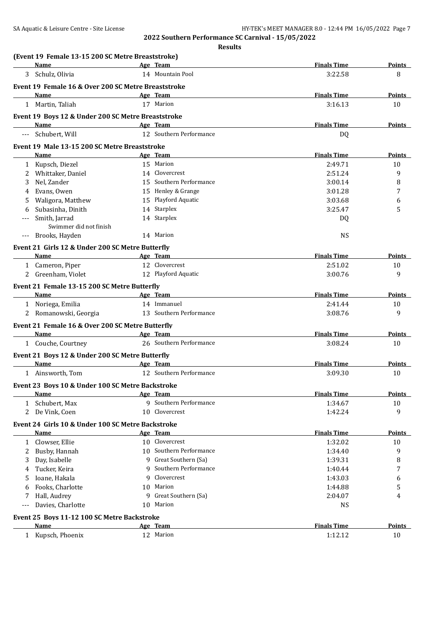|   | (Event 19 Female 13-15 200 SC Metre Breaststroke)              |         |                                     |                      |               |
|---|----------------------------------------------------------------|---------|-------------------------------------|----------------------|---------------|
|   | <b>Name</b>                                                    |         | Age Team                            | <b>Finals Time</b>   | <b>Points</b> |
|   | 3 Schulz, Olivia                                               |         | 14 Mountain Pool                    | 3:22.58              | 8             |
|   | Event 19 Female 16 & Over 200 SC Metre Breaststroke            |         |                                     |                      |               |
|   | Name                                                           |         | Age Team                            | <b>Finals Time</b>   | <b>Points</b> |
|   | 1 Martin, Taliah                                               |         | 17 Marion                           | 3:16.13              | 10            |
|   | Event 19 Boys 12 & Under 200 SC Metre Breaststroke             |         |                                     |                      |               |
|   | Name                                                           |         | Age Team                            | <b>Finals Time</b>   | <b>Points</b> |
|   | --- Schubert, Will                                             |         | 12 Southern Performance             | DQ                   |               |
|   | Event 19 Male 13-15 200 SC Metre Breaststroke                  |         |                                     |                      |               |
|   | Name                                                           |         | Age Team                            | <b>Finals Time</b>   | Points        |
|   | 1 Kupsch, Diezel                                               |         | 15 Marion                           | 2:49.71              | 10            |
| 2 | Whittaker, Daniel                                              |         | 14 Clovercrest                      | 2:51.24              | 9             |
| 3 | Nel, Zander                                                    |         | 15 Southern Performance             | 3:00.14              | 8             |
| 4 | Evans, Owen                                                    |         | 15 Henley & Grange                  | 3:01.28              | 7             |
| 5 | Waligora, Matthew                                              |         | 15 Playford Aquatic                 | 3:03.68              | 6             |
| 6 | Subasinha, Dinith                                              |         | 14 Starplex                         | 3:25.47              | 5             |
|   | Smith, Jarrad                                                  |         | 14 Starplex                         | DQ                   |               |
|   | Swimmer did not finish                                         |         |                                     |                      |               |
|   | --- Brooks, Hayden                                             |         | 14 Marion                           | <b>NS</b>            |               |
|   | Event 21 Girls 12 & Under 200 SC Metre Butterfly               |         |                                     |                      |               |
|   | Name                                                           |         | Age Team                            | <b>Finals Time</b>   | Points        |
|   | 1 Cameron, Piper                                               |         | 12 Clovercrest                      | 2:51.02              | 10            |
|   | 2 Greenham, Violet                                             |         | 12 Playford Aquatic                 | 3:00.76              | 9             |
|   | Event 21 Female 13-15 200 SC Metre Butterfly                   |         |                                     |                      |               |
|   | Name                                                           |         | Age Team                            | <b>Finals Time</b>   | Points        |
|   | 1 Noriega, Emilia                                              |         | 14 Immanuel                         | 2:41.44              | 10            |
|   | 2 Romanowski, Georgia                                          |         | 13 Southern Performance             | 3:08.76              | 9             |
|   | Event 21 Female 16 & Over 200 SC Metre Butterfly               |         |                                     |                      |               |
|   | <b>Name</b>                                                    |         | Age Team                            | <b>Finals Time</b>   | <b>Points</b> |
|   | 1 Couche, Courtney                                             |         | 26 Southern Performance             | 3:08.24              | 10            |
|   |                                                                |         |                                     |                      |               |
|   | Event 21 Boys 12 & Under 200 SC Metre Butterfly<br><b>Name</b> |         | Age Team                            | <b>Finals Time</b>   | Points        |
|   | 1 Ainsworth, Tom                                               |         | 12 Southern Performance             | 3:09.30              | 10            |
|   |                                                                |         |                                     |                      |               |
|   | Event 23 Boys 10 & Under 100 SC Metre Backstroke               |         |                                     |                      |               |
|   | <b>Name</b>                                                    |         | Age Team<br>9 Southern Performance  | <b>Finals Time</b>   | <b>Points</b> |
|   | 1 Schubert, Max<br>2 De Vink, Coen                             |         | 10 Clovercrest                      | 1:34.67              | 10            |
|   |                                                                |         |                                     | 1:42.24              | 9             |
|   | Event 24 Girls 10 & Under 100 SC Metre Backstroke              |         |                                     |                      |               |
|   | Name                                                           |         | Age Team                            | <b>Finals Time</b>   | <b>Points</b> |
| 1 | Clowser, Ellie                                                 |         | 10 Clovercrest                      | 1:32.02              | 10            |
| 2 | Busby, Hannah                                                  |         | 10 Southern Performance             | 1:34.40              | 9             |
| 3 | Day, Isabelle                                                  |         | 9 Great Southern (Sa)               | 1:39.31              | 8             |
| 4 | Tucker, Keira                                                  | 9       | Southern Performance<br>Clovercrest | 1:40.44              | 7             |
| 5 | Ioane, Hakala                                                  | q       | Marion                              | 1:43.03              | 6             |
| 6 | Fooks, Charlotte                                               | 10<br>9 | Great Southern (Sa)                 | 1:44.88              | 5             |
| 7 | Hall, Audrey<br>Davies, Charlotte                              |         | 10 Marion                           | 2:04.07<br><b>NS</b> | 4             |
|   |                                                                |         |                                     |                      |               |
|   | Event 25 Boys 11-12 100 SC Metre Backstroke                    |         |                                     |                      |               |
|   | Name                                                           |         | Age Team                            | <b>Finals Time</b>   | Points        |
|   | 1 Kupsch, Phoenix                                              |         | 12 Marion                           | 1:12.12              | 10            |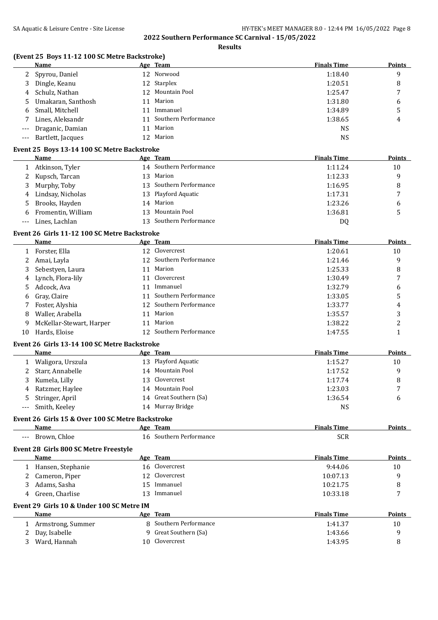**Results**

|       | (Event 25 Boys 11-12 100 SC Metre Backstroke)<br>Name |    | Age Team                | <b>Finals Time</b> | <b>Points</b>  |
|-------|-------------------------------------------------------|----|-------------------------|--------------------|----------------|
|       | 2 Spyrou, Daniel                                      |    | 12 Norwood              | 1:18.40            | 9              |
| 3     | Dingle, Keanu                                         |    | 12 Starplex             | 1:20.51            | 8              |
| 4     | Schulz, Nathan                                        |    | 12 Mountain Pool        | 1:25.47            | 7              |
| 5     | Umakaran, Santhosh                                    | 11 | Marion                  | 1:31.80            | 6              |
| 6     | Small, Mitchell                                       | 11 | Immanuel                | 1:34.89            | 5              |
| 7     | Lines, Aleksandr                                      | 11 | Southern Performance    | 1:38.65            | 4              |
|       | Draganic, Damian                                      | 11 | Marion                  | <b>NS</b>          |                |
| $---$ | Bartlett, Jacques                                     |    | 12 Marion               | <b>NS</b>          |                |
| $---$ |                                                       |    |                         |                    |                |
|       | Event 25 Boys 13-14 100 SC Metre Backstroke           |    |                         |                    |                |
|       | Name                                                  |    | Age Team                | <b>Finals Time</b> | <b>Points</b>  |
|       | 1 Atkinson, Tyler                                     |    | 14 Southern Performance | 1:11.24            | 10             |
| 2     | Kupsch, Tarcan                                        |    | 13 Marion               | 1:12.33            | 9              |
| 3     | Murphy, Toby                                          |    | 13 Southern Performance | 1:16.95            | 8              |
| 4     | Lindsay, Nicholas                                     |    | 13 Playford Aquatic     | 1:17.31            | 7              |
| 5     | Brooks, Hayden                                        | 14 | Marion                  | 1:23.26            | 6              |
| 6     | Fromentin, William                                    | 13 | Mountain Pool           | 1:36.81            | 5              |
| $---$ | Lines, Lachlan                                        |    | 13 Southern Performance | DQ                 |                |
|       | Event 26 Girls 11-12 100 SC Metre Backstroke          |    |                         |                    |                |
|       | Name                                                  |    | Age Team                | <b>Finals Time</b> | Points         |
|       | 1 Forster, Ella                                       |    | 12 Clovercrest          | 1:20.61            | 10             |
| 2     | Amai, Layla                                           |    | 12 Southern Performance | 1:21.46            | 9              |
| 3     | Sebestyen, Laura                                      |    | 11 Marion               | 1:25.33            | 8              |
| 4     | Lynch, Flora-lily                                     | 11 | Clovercrest             | 1:30.49            | 7              |
| 5     | Adcock, Ava                                           | 11 | Immanuel                | 1:32.79            | 6              |
| 6     | Gray, Claire                                          | 11 | Southern Performance    | 1:33.05            | 5              |
| 7     | Foster, Alyshia                                       | 12 | Southern Performance    | 1:33.77            | 4              |
| 8     | Waller, Arabella                                      | 11 | Marion                  | 1:35.57            | 3              |
| 9     | McKellar-Stewart, Harper                              | 11 | Marion                  | 1:38.22            | $\overline{c}$ |
| 10    | Hards, Eloise                                         | 12 | Southern Performance    | 1:47.55            | $\mathbf{1}$   |
|       |                                                       |    |                         |                    |                |
|       | Event 26 Girls 13-14 100 SC Metre Backstroke          |    |                         |                    |                |
|       | <b>Name</b>                                           |    | Age Team                | <b>Finals Time</b> | <b>Points</b>  |
|       | 1 Waligora, Urszula                                   |    | 13 Playford Aquatic     | 1:15.27            | 10             |
| 2     | Starr, Annabelle                                      |    | 14 Mountain Pool        | 1:17.52            | 9              |
|       | 3 Kumela, Lilly                                       |    | 13 Clovercrest          | 1:17.74            | 8              |
| 4     | Ratzmer, Haylee                                       |    | 14 Mountain Pool        | 1:23.03            | 7              |
| 5     | Stringer, April                                       |    | 14 Great Southern (Sa)  | 1:36.54            | 6              |
|       | Smith, Keeley                                         |    | 14 Murray Bridge        | <b>NS</b>          |                |
|       | Event 26 Girls 15 & Over 100 SC Metre Backstroke      |    |                         |                    |                |
|       | Name                                                  |    | Age Team                | <b>Finals Time</b> | <b>Points</b>  |
| $---$ | Brown, Chloe                                          |    | 16 Southern Performance | <b>SCR</b>         |                |
|       | Event 28 Girls 800 SC Metre Freestyle                 |    |                         |                    |                |
|       | Name                                                  |    | Age Team                | <b>Finals Time</b> | <b>Points</b>  |
|       | 1 Hansen, Stephanie                                   |    | 16 Clovercrest          | 9:44.06            | 10             |
|       | 2 Cameron, Piper                                      |    | 12 Clovercrest          | 10:07.13           | 9              |
| 3     | Adams, Sasha                                          |    | 15 Immanuel             | 10:21.75           | 8              |
| 4     | Green, Charlise                                       |    | 13 Immanuel             | 10:33.18           | 7              |
|       |                                                       |    |                         |                    |                |
|       | Event 29 Girls 10 & Under 100 SC Metre IM<br>Name     |    | Age Team                | <b>Finals Time</b> | <b>Points</b>  |
|       | 1 Armstrong, Summer                                   |    | 8 Southern Performance  | 1:41.37            | 10             |
|       | 2 Day, Isabelle                                       |    | 9 Great Southern (Sa)   | 1:43.66            | 9              |
|       |                                                       |    |                         |                    |                |

3 Ward, Hannah 10 Clovercrest 1:43.95 8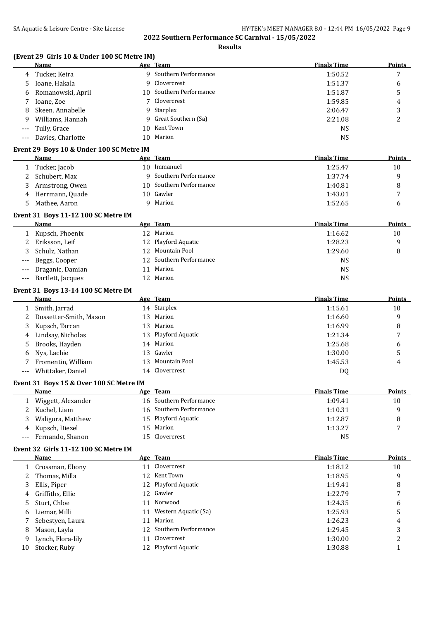**Results**

|  | (Event 29 Girls 10 & Under 100 SC Metre IM) |  |
|--|---------------------------------------------|--|
|--|---------------------------------------------|--|

|                     | (Event 29 Girls IV & Under IVO SC Metre IM) |                 |                      |                    |                |
|---------------------|---------------------------------------------|-----------------|----------------------|--------------------|----------------|
|                     | <b>Name</b>                                 |                 | Age Team             | <b>Finals Time</b> | Points         |
| 4                   | Tucker, Keira                               | q               | Southern Performance | 1:50.52            | 7              |
| 5                   | Ioane, Hakala                               | 9               | Clovercrest          | 1:51.37            | 6              |
| 6                   | Romanowski, April                           | 10              | Southern Performance | 1:51.87            | 5              |
| 7                   | Ioane, Zoe                                  |                 | Clovercrest          | 1:59.85            | 4              |
| 8                   | Skeen, Annabelle                            | 9               | Starplex             | 2:06.47            | 3              |
| 9                   | Williams, Hannah                            | 9               | Great Southern (Sa)  | 2:21.08            | $\overline{2}$ |
| $\qquad \qquad - -$ | Tully, Grace                                | 10 <sup>1</sup> | Kent Town            | <b>NS</b>          |                |
| $---$               | Davies, Charlotte                           | 10              | Marion               | <b>NS</b>          |                |
|                     | Event 29 Boys 10 & Under 100 SC Metre IM    |                 |                      |                    |                |
|                     | Name                                        | Age             | Team                 | <b>Finals Time</b> | Points         |
| 1                   | Tucker, Jacob                               | 10              | Immanuel             | 1:25.47            | 10             |
| 2                   | Schubert, Max                               | q.              | Southern Performance | 1:37.74            | 9              |
| 3                   | Armstrong, Owen                             | 10              | Southern Performance | 1:40.81            | 8              |
| 4                   | Herrmann, Quade                             | 10 <sup>1</sup> | Gawler               | 1:43.01            | 7              |
| 5                   | Mathee, Aaron                               | q               | Marion               | 1:52.65            | 6              |
|                     | Event 31 Boys 11-12 100 SC Metre IM         |                 |                      |                    |                |
|                     | <b>Name</b>                                 |                 | Age Team             | <b>Finals Time</b> | Points         |
|                     | Kupsch, Phoenix                             | 12              | Marion               | 1:16.62            | 10             |
|                     | Eriksson, Leif                              | 12              | Playford Aquatic     | 1:28.23            | 9              |
| 3                   | Schulz, Nathan                              | 12              | <b>Mountain Pool</b> | 1:29.60            | 8              |
| $---$               | Beggs, Cooper                               | 12              | Southern Performance | <b>NS</b>          |                |
| $--$                | Draganic, Damian                            | 11              | Marion               | <b>NS</b>          |                |
| $---$               | Bartlett, Jacques                           | 12              | Marion               | <b>NS</b>          |                |
|                     |                                             |                 |                      |                    |                |

# **Event 31 Boys 13-14 100 SC Metre IM**

|   | Name                     |     | Age Team            | <b>Finals Time</b> | <b>Points</b> |
|---|--------------------------|-----|---------------------|--------------------|---------------|
|   | Smith, Jarrad            |     | 14 Starplex         | 1:15.61            | 10            |
|   | 2 Dossetter-Smith, Mason | 13. | Marion              | 1:16.60            | 9             |
|   | 3 Kupsch, Tarcan         | 13. | Marion              | 1:16.99            | 8             |
|   | 4 Lindsay, Nicholas      |     | 13 Playford Aquatic | 1:21.34            |               |
| 5 | Brooks, Hayden           | 14  | Marion              | 1:25.68            | b             |
|   | 6 Nys, Lachie            | 13. | Gawler              | 1:30.00            | 5             |
|   | Fromentin, William       | 13. | Mountain Pool       | 1:45.53            | 4             |
|   | --- Whittaker, Daniel    | 14  | Clovercrest         | D <sub>0</sub>     |               |

# **Event 31 Boys 15 & Over 100 SC Metre IM**

|    | <b>Name</b>        |     | Age Team                | <b>Finals Time</b> | <b>Points</b> |
|----|--------------------|-----|-------------------------|--------------------|---------------|
|    | Wiggett, Alexander |     | 16 Southern Performance | 1:09.41            | 10            |
|    | Kuchel, Liam       |     | 16 Southern Performance | 1:10.31            | q             |
| 3. | Waligora, Matthew  |     | 15 Playford Aquatic     | 1:12.87            | 8             |
| 4  | Kupsch, Diezel     | 15. | Marion                  | 1:13.27            | $\mathbf{r}$  |
|    | Fernando, Shanon   | 15  | Clovercrest             | NS                 |               |

#### **Event 32 Girls 11-12 100 SC Metre IM**

|    | Name              |    | Age Team                | <b>Finals Time</b> | Points |
|----|-------------------|----|-------------------------|--------------------|--------|
|    | Crossman, Ebony   | 11 | Clovercrest             | 1:18.12            | 10     |
|    | Thomas, Milla     |    | 12 Kent Town            | 1:18.95            | 9      |
|    | Ellis, Piper      |    | 12 Playford Aquatic     | 1:19.41            | 8      |
| 4  | Griffiths, Ellie  |    | 12 Gawler               | 1:22.79            |        |
|    | Sturt, Chloe      |    | 11 Norwood              | 1:24.35            | 6      |
| 6  | Liemar, Milli     |    | 11 Western Aquatic (Sa) | 1:25.93            | 5      |
|    | Sebestyen, Laura  |    | 11 Marion               | 1:26.23            | 4      |
| 8  | Mason, Layla      |    | 12 Southern Performance | 1:29.45            | 3      |
| 9. | Lynch, Flora-lily | 11 | Clovercrest             | 1:30.00            | 2      |
| 10 | Stocker, Ruby     |    | 12 Playford Aquatic     | 1:30.88            |        |
|    |                   |    |                         |                    |        |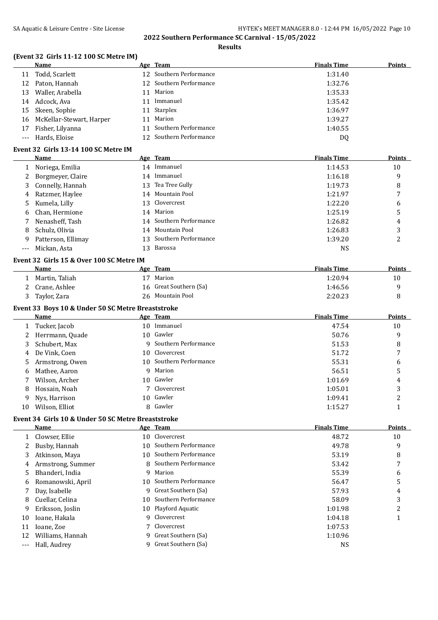### **Results**

# **(Event 32 Girls 11-12 100 SC Metre IM)**

|    | <b>Name</b>                          |    | Age Team                | <b>Finals Time</b> | <b>Points</b> |
|----|--------------------------------------|----|-------------------------|--------------------|---------------|
| 11 | Todd, Scarlett                       |    | 12 Southern Performance | 1:31.40            |               |
| 12 | Paton, Hannah                        |    | 12 Southern Performance | 1:32.76            |               |
| 13 | Waller, Arabella                     |    | 11 Marion               | 1:35.33            |               |
| 14 | Adcock, Ava                          | 11 | Immanuel                | 1:35.42            |               |
| 15 | Skeen, Sophie                        |    | 11 Starplex             | 1:36.97            |               |
| 16 | McKellar-Stewart, Harper             |    | 11 Marion               | 1:39.27            |               |
| 17 | Fisher, Lilyanna                     |    | 11 Southern Performance | 1:40.55            |               |
|    | --- Hards, Eloise                    |    | 12 Southern Performance | DQ                 |               |
|    | Event 32 Girls 13-14 100 SC Metre IM |    |                         |                    |               |
|    |                                      |    |                         |                    |               |

|    | Name               |    | Age Team                | <b>Finals Time</b> | <b>Points</b> |
|----|--------------------|----|-------------------------|--------------------|---------------|
|    | Noriega, Emilia    | 14 | Immanuel                | 1:14.53            | 10            |
| 2  | Borgmeyer, Claire  | 14 | Immanuel                | 1:16.18            | 9             |
| 3  | Connelly, Hannah   |    | 13 Tea Tree Gully       | 1:19.73            | 8             |
| 4  | Ratzmer, Haylee    |    | 14 Mountain Pool        | 1:21.97            | 7             |
| 5. | Kumela, Lilly      |    | 13 Clovercrest          | 1:22.20            | 6             |
| 6  | Chan, Hermione     |    | 14 Marion               | 1:25.19            | 5             |
|    | Nenasheff, Tash    |    | 14 Southern Performance | 1:26.82            | 4             |
| 8  | Schulz, Olivia     |    | 14 Mountain Pool        | 1:26.83            | 3             |
| 9  | Patterson, Ellimay |    | 13 Southern Performance | 1:39.20            | າ<br>∠        |
|    | Mickan, Asta       | 13 | Barossa                 | NS                 |               |

#### **Event 32 Girls 15 & Over 100 SC Metre IM**

| <b>Name</b>    | Age Team               | <b>Finals Time</b> | Points |
|----------------|------------------------|--------------------|--------|
| Martin, Taliah | Marion                 | 1:20.94            | 10     |
| Crane, Ashlee  | 16 Great Southern (Sa) | 1:46.56            |        |
| Taylor, Zara   | 26 Mountain Pool       | 2:20.23            |        |

# **Event 33 Boys 10 & Under 50 SC Metre Breaststroke**

|    | Name            | Age Team                | <b>Finals Time</b> | <b>Points</b> |
|----|-----------------|-------------------------|--------------------|---------------|
|    | Tucker, Jacob   | 10 Immanuel             | 47.54              | 10            |
| 2  | Herrmann, Quade | 10 Gawler               | 50.76              | 9             |
| 3  | Schubert, Max   | 9 Southern Performance  | 51.53              | 8             |
| 4  | De Vink, Coen   | 10 Clovercrest          | 51.72              | 7             |
| 5. | Armstrong, Owen | 10 Southern Performance | 55.31              | 6             |
| 6  | Mathee, Aaron   | 9 Marion                | 56.51              | כ             |
|    | Wilson, Archer  | 10 Gawler               | 1:01.69            | 4             |
| 8  | Hossain, Noah   | 7 Clovercrest           | 1:05.01            | 3             |
| 9. | Nys, Harrison   | 10 Gawler               | 1:09.41            | າ<br>∠        |
| 10 | Wilson, Elliot  | 8 Gawler                | 1:15.27            |               |

# **Event 34 Girls 10 & Under 50 SC Metre Breaststroke**

|    | Name              |     | Age Team               | <b>Finals Time</b> | <b>Points</b> |
|----|-------------------|-----|------------------------|--------------------|---------------|
|    | Clowser, Ellie    | 10  | Clovercrest            | 48.72              | 10            |
|    | Busby, Hannah     | 10  | Southern Performance   | 49.78              | 9             |
| 3  | Atkinson, Maya    | 10. | Southern Performance   | 53.19              | 8             |
| 4  | Armstrong, Summer |     | 8 Southern Performance | 53.42              | 7             |
| 5. | Bhanderi, India   |     | 9 Marion               | 55.39              | 6             |
| 6  | Romanowski, April | 10. | Southern Performance   | 56.47              | 5             |
|    | Day, Isabelle     | 9   | Great Southern (Sa)    | 57.93              | 4             |
| 8  | Cuellar, Celina   | 10. | Southern Performance   | 58.09              | 3             |
| 9. | Eriksson, Joslin  | 10  | Playford Aquatic       | 1:01.98            | 2             |
| 10 | Ioane, Hakala     | 9   | Clovercrest            | 1:04.18            |               |
| 11 | Ioane, Zoe        |     | Clovercrest            | 1:07.53            |               |
|    | Williams, Hannah  | 9.  | Great Southern (Sa)    | 1:10.96            |               |
|    | Hall, Audrey      |     | Great Southern (Sa)    | NS.                |               |
|    |                   |     |                        |                    |               |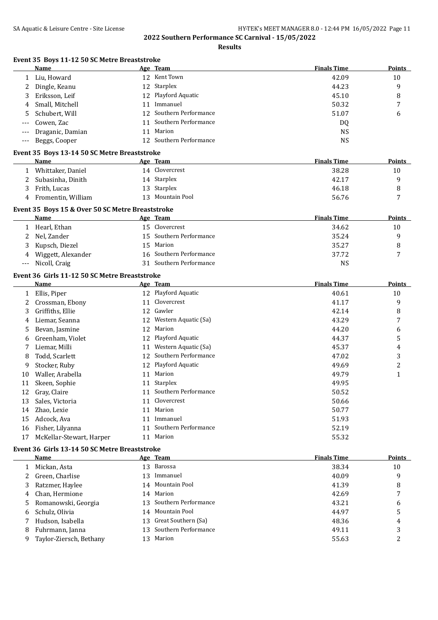|              | Event 35 Boys 11-12 50 SC Metre Breaststroke<br>Name |    | Age Team                | <b>Finals Time</b> | Points         |
|--------------|------------------------------------------------------|----|-------------------------|--------------------|----------------|
| 1            | Liu, Howard                                          |    | 12 Kent Town            | 42.09              | 10             |
| 2            | Dingle, Keanu                                        |    | 12 Starplex             | 44.23              | 9              |
| 3            | Eriksson, Leif                                       | 12 | Playford Aquatic        | 45.10              | 8              |
| 4            | Small, Mitchell                                      | 11 | Immanuel                | 50.32              | 7              |
| 5            | Schubert, Will                                       | 12 | Southern Performance    | 51.07              | 6              |
| $---$        | Cowen, Zac                                           | 11 | Southern Performance    | DQ                 |                |
| $---$        | Draganic, Damian                                     | 11 | Marion                  | <b>NS</b>          |                |
| $---$        | Beggs, Cooper                                        |    | 12 Southern Performance | <b>NS</b>          |                |
|              |                                                      |    |                         |                    |                |
|              | Event 35 Boys 13-14 50 SC Metre Breaststroke         |    |                         |                    |                |
|              | Name                                                 |    | Age Team                | <b>Finals Time</b> | <b>Points</b>  |
|              | 1 Whittaker, Daniel                                  |    | 14 Clovercrest          | 38.28              | 10             |
| 2            | Subasinha, Dinith                                    |    | 14 Starplex             | 42.17              | 9              |
| 3            | Frith, Lucas                                         |    | 13 Starplex             | 46.18              | 8              |
| 4            | Fromentin, William                                   |    | 13 Mountain Pool        | 56.76              | 7              |
|              | Event 35 Boys 15 & Over 50 SC Metre Breaststroke     |    |                         |                    |                |
|              | Name                                                 |    | Age Team                | <b>Finals Time</b> | Points         |
| $\mathbf{1}$ | Hearl, Ethan                                         |    | 15 Clovercrest          | 34.62              | 10             |
| 2            | Nel, Zander                                          |    | 15 Southern Performance | 35.24              | 9              |
| 3            | Kupsch, Diezel                                       |    | 15 Marion               | 35.27              | 8              |
| 4            | Wiggett, Alexander                                   |    | 16 Southern Performance | 37.72              | 7              |
| ---          | Nicoll, Craig                                        |    | 31 Southern Performance | <b>NS</b>          |                |
|              | Event 36 Girls 11-12 50 SC Metre Breaststroke        |    |                         |                    |                |
|              | Name                                                 |    | Age Team                | <b>Finals Time</b> | <b>Points</b>  |
| 1            | Ellis, Piper                                         |    | 12 Playford Aquatic     | 40.61              | 10             |
| 2            | Crossman, Ebony                                      |    | 11 Clovercrest          | 41.17              | 9              |
| 3            | Griffiths, Ellie                                     |    | 12 Gawler               | 42.14              | 8              |
| 4            | Liemar, Seanna                                       |    | 12 Western Aquatic (Sa) | 43.29              | 7              |
|              | Bevan, Jasmine                                       |    | 12 Marion               | 44.20              | 6              |
| 5            |                                                      | 12 | Playford Aquatic        | 44.37              | 5              |
| 6            | Greenham, Violet                                     |    | 11 Western Aquatic (Sa) |                    |                |
| 7            | Liemar, Milli                                        |    |                         | 45.37              | 4              |
| 8            | Todd, Scarlett                                       |    | 12 Southern Performance | 47.02              | 3              |
| 9            | Stocker, Ruby                                        |    | 12 Playford Aquatic     | 49.69              | $\overline{c}$ |
| 10           | Waller, Arabella                                     | 11 | Marion                  | 49.79              | $\mathbf{1}$   |
| 11           | Skeen, Sophie                                        |    | 11 Starplex             | 49.95              |                |
| 12           | Gray, Claire                                         |    | 11 Southern Performance | 50.52              |                |
| 13           | Sales, Victoria                                      | 11 | Clovercrest             | 50.66              |                |
| 14           | Zhao, Lexie                                          | 11 | Marion                  | 50.77              |                |
| 15           | Adcock, Ava                                          |    | 11 Immanuel             | 51.93              |                |
| 16           | Fisher, Lilyanna                                     | 11 | Southern Performance    | 52.19              |                |
| 17           | McKellar-Stewart, Harper                             | 11 | Marion                  | 55.32              |                |
|              | Event 36 Girls 13-14 50 SC Metre Breaststroke        |    |                         |                    |                |
|              | <b>Name</b>                                          |    | Age Team                | <b>Finals Time</b> | <b>Points</b>  |
| $\mathbf{1}$ | Mickan, Asta                                         |    | 13 Barossa              | 38.34              | 10             |
| 2            | Green, Charlise                                      | 13 | Immanuel                | 40.09              | 9              |
| 3            | Ratzmer, Haylee                                      | 14 | Mountain Pool           | 41.39              | 8              |
| 4            | Chan, Hermione                                       | 14 | Marion                  | 42.69              | 7              |
| 5            | Romanowski, Georgia                                  | 13 | Southern Performance    | 43.21              | 6              |
| 6            | Schulz, Olivia                                       | 14 | Mountain Pool           | 44.97              | 5              |
| 7            | Hudson, Isabella                                     | 13 | Great Southern (Sa)     | 48.36              | 4              |
| 8            | Fuhrmann, Janna                                      | 13 | Southern Performance    | 49.11              | 3              |
|              |                                                      |    |                         |                    | $\overline{c}$ |
| 9            | Taylor-Ziersch, Bethany                              |    | 13 Marion               | 55.63              |                |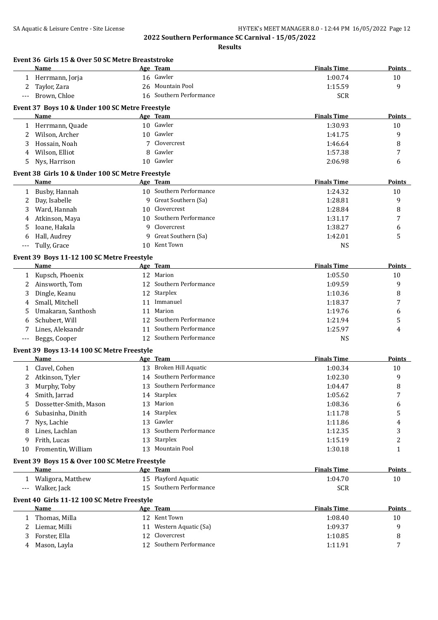|                | Name                                             | Age Team                   | <b>Finals Time</b> | Points        |
|----------------|--------------------------------------------------|----------------------------|--------------------|---------------|
|                | 1 Herrmann, Jorja                                | 16 Gawler                  | 1:00.74            | 10            |
| 2              | Taylor, Zara                                     | 26 Mountain Pool           | 1:15.59            | 9             |
| ---            | Brown, Chloe                                     | 16 Southern Performance    | <b>SCR</b>         |               |
|                |                                                  |                            |                    |               |
|                | Event 37 Boys 10 & Under 100 SC Metre Freestyle  |                            | <b>Finals Time</b> |               |
|                | Name                                             | Age Team                   |                    | Points        |
|                | 1 Herrmann, Quade                                | 10 Gawler                  | 1:30.93            | 10            |
| 2              | Wilson, Archer                                   | 10 Gawler                  | 1:41.75            | 9             |
| 3              | Hossain, Noah                                    | 7 Clovercrest              | 1:46.64            | 8             |
| 4              | Wilson, Elliot                                   | 8 Gawler                   | 1:57.38            | 7             |
| 5              | Nys, Harrison                                    | 10 Gawler                  | 2:06.98            | 6             |
|                | Event 38 Girls 10 & Under 100 SC Metre Freestyle |                            |                    |               |
|                | Name                                             | Age Team                   | <b>Finals Time</b> | <b>Points</b> |
|                | 1 Busby, Hannah                                  | 10 Southern Performance    | 1:24.32            | 10            |
| 2              | Day, Isabelle                                    | 9 Great Southern (Sa)      | 1:28.81            | 9             |
| 3              | Ward, Hannah                                     | 10 Clovercrest             | 1:28.84            | 8             |
| 4              | Atkinson, Maya                                   | 10 Southern Performance    | 1:31.17            | 7             |
| 5              | Ioane, Hakala                                    | 9 Clovercrest              | 1:38.27            | 6             |
| 6              | Hall, Audrey                                     | 9 Great Southern (Sa)      | 1:42.01            | 5             |
| $---$          | Tully, Grace                                     | 10 Kent Town               | <b>NS</b>          |               |
|                | Event 39 Boys 11-12 100 SC Metre Freestyle       |                            |                    |               |
|                | Name                                             | Age Team                   | <b>Finals Time</b> | <b>Points</b> |
|                |                                                  | 12 Marion                  | 1:05.50            | 10            |
|                | 1 Kupsch, Phoenix                                | 12 Southern Performance    |                    |               |
| 2              | Ainsworth, Tom                                   |                            | 1:09.59            | 9             |
| 3              | Dingle, Keanu                                    | 12 Starplex<br>11 Immanuel | 1:10.36            | 8             |
| 4              | Small, Mitchell                                  | 11 Marion                  | 1:18.37            | 7             |
| 5              | Umakaran, Santhosh                               |                            | 1:19.76            | 6             |
| 6              | Schubert, Will                                   | 12 Southern Performance    | 1:21.94            | 5             |
| 7              | Lines, Aleksandr                                 | 11 Southern Performance    | 1:25.97            | 4             |
| $---$          | Beggs, Cooper                                    | 12 Southern Performance    | <b>NS</b>          |               |
|                | Event 39 Boys 13-14 100 SC Metre Freestyle       |                            |                    |               |
|                | Name                                             | Age Team                   | <b>Finals Time</b> | <b>Points</b> |
|                | 1 Clavel, Cohen                                  | 13 Broken Hill Aquatic     | 1:00.34            | 10            |
|                | 2 Atkinson, Tyler                                | 14 Southern Performance    | 1:02.30            | 9             |
| $\overline{3}$ | Murphy, Toby                                     | 13 Southern Performance    | 1:04.47            | 8             |
| 4              | Smith, Jarrad                                    | 14 Starplex                | 1:05.62            | 7             |
| 5              | Dossetter-Smith, Mason                           | 13 Marion                  | 1:08.36            | 6             |
| 6              | Subasinha, Dinith                                | 14 Starplex                | 1:11.78            | 5             |
| 7              | Nys, Lachie                                      | 13 Gawler                  | 1:11.86            | 4             |
| 8              | Lines, Lachlan                                   | 13 Southern Performance    | 1:12.35            | 3             |
| 9              | Frith, Lucas                                     | 13 Starplex                | 1:15.19            | 2             |
| 10             | Fromentin, William                               | 13 Mountain Pool           | 1:30.18            | $\mathbf{1}$  |
|                |                                                  |                            |                    |               |
|                | Event 39 Boys 15 & Over 100 SC Metre Freestyle   |                            |                    |               |
|                | Name                                             | Age Team                   | <b>Finals Time</b> | <b>Points</b> |
|                | 1 Waligora, Matthew                              | 15 Playford Aquatic        | 1:04.70            | 10            |
|                | --- Walker, Jack                                 | 15 Southern Performance    | <b>SCR</b>         |               |
|                | Event 40 Girls 11-12 100 SC Metre Freestyle      |                            |                    |               |
|                | Name                                             | Age Team                   | <b>Finals Time</b> | <b>Points</b> |
|                | 1 Thomas, Milla                                  | 12 Kent Town               | 1:08.40            | 10            |
| 2              | Liemar, Milli                                    | 11 Western Aquatic (Sa)    | 1:09.37            | 9             |
|                |                                                  |                            |                    |               |
| 3              | Forster, Ella                                    | 12 Clovercrest             | 1:10.85            | 8             |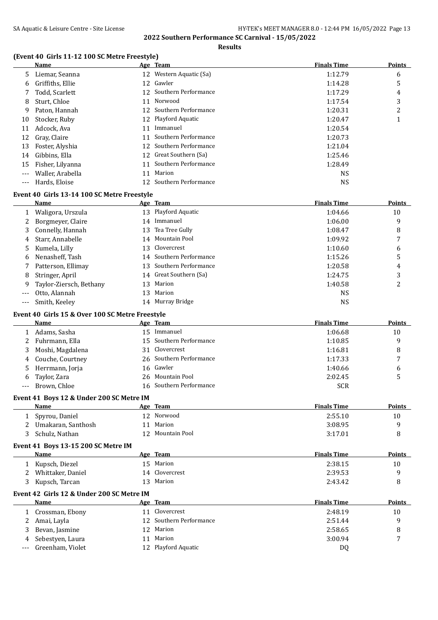**Results**

#### **(Event 40 Girls 11-12 100 SC Metre Freestyle)**

|              | Name                                            |    | Age Team                         | <b>Finals Time</b> | <b>Points</b> |
|--------------|-------------------------------------------------|----|----------------------------------|--------------------|---------------|
| 5.           | Liemar, Seanna                                  |    | 12 Western Aquatic (Sa)          | 1:12.79            | 6             |
| 6            | Griffiths, Ellie                                |    | 12 Gawler                        | 1:14.28            | 5             |
| 7            | Todd, Scarlett                                  | 12 | Southern Performance             | 1:17.29            | 4             |
| 8            | Sturt, Chloe                                    | 11 | Norwood                          | 1:17.54            | 3             |
| 9            | Paton, Hannah                                   |    | 12 Southern Performance          | 1:20.31            | 2             |
| 10           | Stocker, Ruby                                   |    | 12 Playford Aquatic              | 1:20.47            | 1             |
| 11           | Adcock, Ava                                     | 11 | Immanuel                         | 1:20.54            |               |
| 12           | Gray, Claire                                    | 11 | Southern Performance             | 1:20.73            |               |
| 13           | Foster, Alyshia                                 | 12 | Southern Performance             | 1:21.04            |               |
| 14           | Gibbins, Ella                                   |    | 12 Great Southern (Sa)           | 1:25.46            |               |
| 15           | Fisher, Lilyanna                                | 11 | Southern Performance             | 1:28.49            |               |
|              | Waller, Arabella                                |    | 11 Marion                        | <b>NS</b>          |               |
| ---          | Hards, Eloise                                   |    | 12 Southern Performance          | <b>NS</b>          |               |
|              |                                                 |    |                                  |                    |               |
|              | Event 40 Girls 13-14 100 SC Metre Freestyle     |    |                                  |                    |               |
|              | Name                                            |    | Age Team                         | <b>Finals Time</b> | Points        |
| $\mathbf{1}$ | Waligora, Urszula                               |    | 13 Playford Aquatic              | 1:04.66            | 10            |
| 2            | Borgmeyer, Claire                               |    | 14 Immanuel                      | 1:06.00            | 9             |
| 3            | Connelly, Hannah                                | 13 | Tea Tree Gully                   | 1:08.47            | 8             |
| 4            | Starr, Annabelle                                |    | 14 Mountain Pool                 | 1:09.92            | 7             |
| 5            | Kumela, Lilly                                   | 13 | Clovercrest                      | 1:10.60            | 6             |
| 6            | Nenasheff, Tash                                 |    | 14 Southern Performance          | 1:15.26            | 5             |
| 7            | Patterson, Ellimay                              |    | 13 Southern Performance          | 1:20.58            | 4             |
| 8            | Stringer, April                                 |    | 14 Great Southern (Sa)           | 1:24.75            | 3             |
| 9            | Taylor-Ziersch, Bethany                         |    | 13 Marion                        | 1:40.58            | 2             |
| $---$        | Otto, Alannah                                   | 13 | Marion                           | <b>NS</b>          |               |
| $---$        | Smith, Keeley                                   |    | 14 Murray Bridge                 | <b>NS</b>          |               |
|              | Event 40 Girls 15 & Over 100 SC Metre Freestyle |    |                                  |                    |               |
|              | Name                                            |    | Age Team                         | <b>Finals Time</b> | Points        |
|              | 1 Adams, Sasha                                  |    | 15 Immanuel                      | 1:06.68            | 10            |
| 2            | Fuhrmann, Ella                                  |    | 15 Southern Performance          | 1:10.85            | 9             |
| 3            | Moshi, Magdalena                                |    | 31 Clovercrest                   | 1:16.81            | 8             |
| 4            | Couche, Courtney                                |    | 26 Southern Performance          | 1:17.33            | 7             |
| 5            | Herrmann, Jorja                                 |    | 16 Gawler                        | 1:40.66            | 6             |
| 6            | Taylor, Zara                                    |    | 26 Mountain Pool                 | 2:02.45            | 5             |
|              | Brown, Chloe                                    |    | 16 Southern Performance          | <b>SCR</b>         |               |
|              |                                                 |    |                                  |                    |               |
|              | Event 41 Boys 12 & Under 200 SC Metre IM        |    |                                  |                    |               |
|              | Name                                            |    | Age Team                         | <b>Finals Time</b> | <b>Points</b> |
|              | 1 Spyrou, Daniel                                |    | 12 Norwood                       | 2:55.10            | 10            |
| 2            | Umakaran, Santhosh                              |    | 11 Marion                        | 3:08.95            | 9             |
| 3            | Schulz, Nathan                                  |    | 12 Mountain Pool                 | 3:17.01            | 8             |
|              | Event 41 Boys 13-15 200 SC Metre IM             |    |                                  |                    |               |
|              | <b>Name</b>                                     |    | Age Team                         | <b>Finals Time</b> | <b>Points</b> |
| 1            | Kupsch, Diezel                                  |    | 15 Marion                        | 2:38.15            | 10            |
| 2            | Whittaker, Daniel                               |    | 14 Clovercrest                   | 2:39.53            | 9             |
| 3            | Kupsch, Tarcan                                  |    | 13 Marion                        | 2:43.42            | 8             |
|              | Event 42 Girls 12 & Under 200 SC Metre IM       |    |                                  |                    |               |
|              | Name                                            |    | Age Team                         | <b>Finals Time</b> | Points        |
|              | 1 Crossman, Ebony                               |    | 11 Clovercrest                   | 2:48.19            | 10            |
|              |                                                 |    | 12 Southern Performance          | 2:51.44            | 9             |
|              |                                                 |    |                                  |                    |               |
| 2            | Amai, Layla                                     |    |                                  |                    |               |
| 3            | Bevan, Jasmine                                  |    | 12 Marion                        | 2:58.65            | 8             |
| 4<br>$---$   | Sebestyen, Laura<br>Greenham, Violet            |    | 11 Marion<br>12 Playford Aquatic | 3:00.94<br>DQ      | 7             |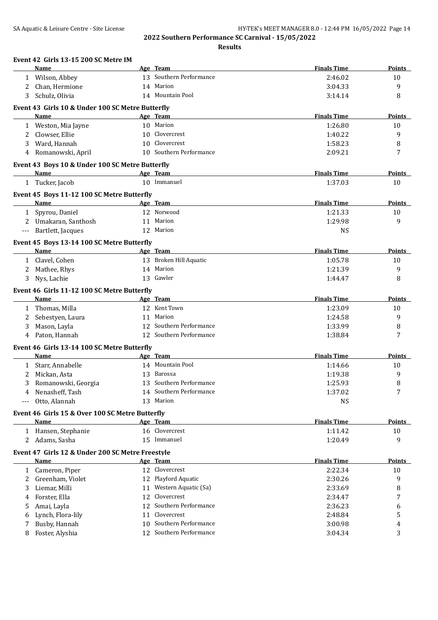|                     | <b>Name</b>                                      |    | Age Team                | <b>Finals Time</b> | <b>Points</b> |
|---------------------|--------------------------------------------------|----|-------------------------|--------------------|---------------|
| $\mathbf{1}$        | Wilson, Abbey                                    |    | 13 Southern Performance | 2:46.02            | 10            |
|                     | Chan, Hermione                                   |    | 14 Marion               | 3:04.33            | 9             |
|                     | Schulz, Olivia                                   |    | 14 Mountain Pool        | 3:14.14            | 8             |
|                     | Event 43 Girls 10 & Under 100 SC Metre Butterfly |    |                         |                    |               |
|                     | Name                                             |    | Age Team                | <b>Finals Time</b> | <b>Points</b> |
|                     | 1 Weston, Mia Jayne                              |    | 10 Marion               | 1:26.80            | 10            |
| 2                   | Clowser, Ellie                                   |    | 10 Clovercrest          | 1:40.22            | 9             |
| 3                   | Ward, Hannah                                     |    | 10 Clovercrest          | 1:58.23            | 8             |
| 4                   | Romanowski, April                                |    | 10 Southern Performance | 2:09.21            | 7             |
|                     |                                                  |    |                         |                    |               |
|                     | Event 43 Boys 10 & Under 100 SC Metre Butterfly  |    |                         |                    |               |
|                     | Name                                             |    | Age Team                | <b>Finals Time</b> | Points        |
|                     | 1 Tucker, Jacob                                  |    | 10 Immanuel             | 1:37.03            | 10            |
|                     | Event 45 Boys 11-12 100 SC Metre Butterfly       |    |                         |                    |               |
|                     | Name                                             |    | Age Team                | <b>Finals Time</b> | <b>Points</b> |
| $\mathbf{1}$        | Spyrou, Daniel                                   |    | 12 Norwood              | 1:21.33            | 10            |
|                     | 2 Umakaran, Santhosh                             |    | 11 Marion               | 1:29.98            | 9             |
| $\qquad \qquad - -$ | Bartlett, Jacques                                |    | 12 Marion               | <b>NS</b>          |               |
|                     |                                                  |    |                         |                    |               |
|                     | Event 45 Boys 13-14 100 SC Metre Butterfly       |    |                         |                    |               |
|                     | Name                                             |    | Age Team                | <b>Finals Time</b> | Points        |
|                     | 1 Clavel, Cohen                                  |    | 13 Broken Hill Aquatic  | 1:05.78            | 10            |
|                     | 2 Mathee, Rhys                                   |    | 14 Marion               | 1:21.39            | 9             |
| 3                   | Nys, Lachie                                      |    | 13 Gawler               | 1:44.47            | 8             |
|                     | Event 46 Girls 11-12 100 SC Metre Butterfly      |    |                         |                    |               |
|                     | <b>Name</b>                                      |    | Age Team                | <b>Finals Time</b> | Points        |
| 1                   | Thomas, Milla                                    |    | 12 Kent Town            | 1:23.09            | 10            |
| 2                   | Sebestyen, Laura                                 |    | 11 Marion               | 1:24.58            | 9             |
| 3                   | Mason, Layla                                     |    | 12 Southern Performance | 1:33.99            | 8             |
| 4                   | Paton, Hannah                                    |    | 12 Southern Performance | 1:38.84            | 7             |
|                     | Event 46 Girls 13-14 100 SC Metre Butterfly      |    |                         |                    |               |
|                     | Name                                             |    | Age Team                | <b>Finals Time</b> | Points        |
| $\mathbf{1}$        | Starr, Annabelle                                 |    | 14 Mountain Pool        | 1:14.66            | 10            |
| 2                   | Mickan, Asta                                     | 13 | Barossa                 | 1:19.38            | 9             |
| 3                   | Romanowski, Georgia                              |    | 13 Southern Performance | 1:25.93            | 8             |
| 4                   | Nenasheff, Tash                                  |    | 14 Southern Performance | 1:37.02            | 7             |
|                     | --- Otto, Alannah                                |    | 13 Marion               | <b>NS</b>          |               |
|                     |                                                  |    |                         |                    |               |
|                     | Event 46 Girls 15 & Over 100 SC Metre Butterfly  |    |                         |                    |               |
|                     | Name                                             |    | Age Team                | <b>Finals Time</b> | <b>Points</b> |
|                     | 1 Hansen, Stephanie                              |    | 16 Clovercrest          | 1:11.42            | 10            |
|                     | 2 Adams, Sasha                                   |    | 15 Immanuel             | 1:20.49            | 9             |
|                     | Event 47 Girls 12 & Under 200 SC Metre Freestyle |    |                         |                    |               |
|                     | Name                                             |    | Age Team                | <b>Finals Time</b> | <b>Points</b> |
|                     | 1 Cameron, Piper                                 |    | 12 Clovercrest          | 2:22.34            | 10            |
| 2                   | Greenham, Violet                                 |    | 12 Playford Aquatic     | 2:30.26            | 9             |
| 3                   | Liemar, Milli                                    |    | 11 Western Aquatic (Sa) | 2:33.69            | 8             |
| 4                   | Forster, Ella                                    |    | 12 Clovercrest          | 2:34.47            | 7             |
| 5                   | Amai, Layla                                      | 12 | Southern Performance    | 2:36.23            | 6             |
| 6                   | Lynch, Flora-lily                                | 11 | Clovercrest             | 2:48.84            | 5             |
| 7                   | Busby, Hannah                                    | 10 | Southern Performance    | 3:00.98            | 4             |
| 8                   | Foster, Alyshia                                  |    | 12 Southern Performance | 3:04.34            | 3             |
|                     |                                                  |    |                         |                    |               |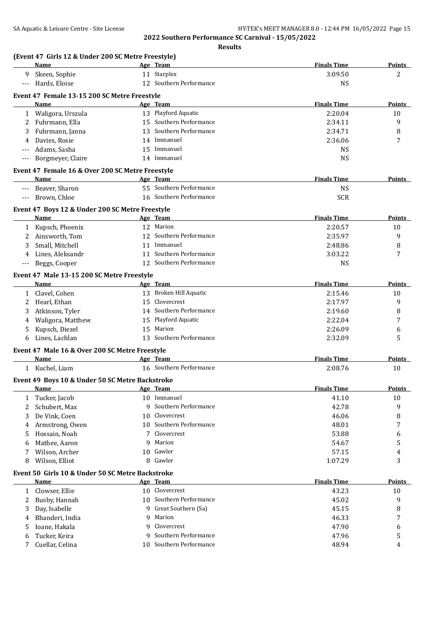|                     | (Event 47 Girls 12 & Under 200 SC Metre Freestyle)<br>Name |    | Age Team                      | <b>Finals Time</b> | <b>Points</b> |
|---------------------|------------------------------------------------------------|----|-------------------------------|--------------------|---------------|
| 9                   | Skeen, Sophie                                              |    | 11 Starplex                   | 3:09.50            | 2             |
| $\qquad \qquad - -$ | Hards, Eloise                                              |    | 12 Southern Performance       | <b>NS</b>          |               |
|                     |                                                            |    |                               |                    |               |
|                     | Event 47 Female 13-15 200 SC Metre Freestyle<br>Name       |    | Age Team                      | <b>Finals Time</b> | <b>Points</b> |
|                     |                                                            |    | 13 Playford Aquatic           | 2:20.04            | 10            |
| 2                   | 1 Waligora, Urszula<br>Fuhrmann, Ella                      |    | 15 Southern Performance       | 2:34.11            | 9             |
|                     | Fuhrmann, Janna                                            |    | 13 Southern Performance       | 2:34.71            | 8             |
| 3                   | Davies, Rosie                                              |    | 14 Immanuel                   | 2:36.06            | 7             |
| 4                   |                                                            |    | 15 Immanuel                   |                    |               |
|                     | Adams, Sasha                                               |    | 14 Immanuel                   | <b>NS</b>          |               |
|                     | Borgmeyer, Claire                                          |    |                               | <b>NS</b>          |               |
|                     | Event 47 Female 16 & Over 200 SC Metre Freestyle           |    |                               |                    |               |
|                     | Name                                                       |    | Age Team                      | <b>Finals Time</b> | Points        |
|                     | Beaver, Sharon                                             |    | 55 Southern Performance       | <b>NS</b>          |               |
| $---$               | Brown, Chloe                                               |    | 16 Southern Performance       | <b>SCR</b>         |               |
|                     | Event 47 Boys 12 & Under 200 SC Metre Freestyle            |    |                               |                    |               |
|                     | Name                                                       |    | Age Team                      | <b>Finals Time</b> | Points        |
| 1                   | Kupsch, Phoenix                                            |    | 12 Marion                     | 2:20.57            | 10            |
| 2                   | Ainsworth, Tom                                             | 12 | Southern Performance          | 2:35.97            | 9             |
| 3                   | Small, Mitchell                                            |    | 11 Immanuel                   | 2:48.86            | 8             |
| 4                   | Lines, Aleksandr                                           |    | 11 Southern Performance       | 3:03.22            | 7             |
|                     | Beggs, Cooper                                              |    | 12 Southern Performance       | <b>NS</b>          |               |
|                     | Event 47 Male 13-15 200 SC Metre Freestyle                 |    |                               |                    |               |
|                     | Name                                                       |    | Age Team                      | <b>Finals Time</b> | Points        |
|                     |                                                            |    | 13 Broken Hill Aquatic        | 2:15.46            |               |
| 1                   | Clavel, Cohen                                              | 15 | Clovercrest                   | 2:17.97            | 10<br>9       |
| 2                   | Hearl, Ethan                                               |    | 14 Southern Performance       |                    |               |
| 3                   | Atkinson, Tyler                                            |    |                               | 2:19.60            | 8             |
| 4                   | Waligora, Matthew                                          |    | 15 Playford Aquatic<br>Marion | 2:22.04            | 7             |
| 5                   | Kupsch, Diezel                                             | 15 | 13 Southern Performance       | 2:26.09            | 6             |
| 6                   | Lines, Lachlan                                             |    |                               | 2:32.09            | 5             |
|                     | Event 47 Male 16 & Over 200 SC Metre Freestyle             |    |                               |                    |               |
|                     | Name                                                       |    | Age Team                      | <b>Finals Time</b> | Points        |
|                     | 1 Kuchel, Liam                                             |    | 16 Southern Performance       | 2:08.76            | 10            |
|                     | Event 49 Boys 10 & Under 50 SC Metre Backstroke            |    |                               |                    |               |
|                     | Name                                                       |    | Age Team                      | <b>Finals Time</b> | <b>Points</b> |
|                     | 1 Tucker, Jacob                                            |    | 10 Immanuel                   | 41.10              | 10            |
| 2                   | Schubert, Max                                              |    | 9 Southern Performance        | 42.78              | 9             |
| 3                   | De Vink, Coen                                              |    | 10 Clovercrest                | 46.06              | 8             |
| 4                   | Armstrong, Owen                                            |    | 10 Southern Performance       | 48.01              | 7             |
| 5                   | Hossain, Noah                                              |    | Clovercrest                   | 53.88              | 6             |
| 6                   | Mathee, Aaron                                              | 9  | Marion                        | 54.67              | 5             |
| 7                   | Wilson, Archer                                             |    | 10 Gawler                     | 57.15              | 4             |
| 8                   | Wilson, Elliot                                             | 8  | Gawler                        | 1:07.29            | 3             |
|                     |                                                            |    |                               |                    |               |
|                     | Event 50 Girls 10 & Under 50 SC Metre Backstroke           |    |                               |                    |               |
|                     | Name                                                       |    | Age Team                      | <b>Finals Time</b> | <b>Points</b> |
| 1                   | Clowser, Ellie                                             |    | 10 Clovercrest                | 43.23              | 10            |
| 2                   | Busby, Hannah                                              |    | 10 Southern Performance       | 45.02              | 9             |
| 3                   | Day, Isabelle                                              | q  | Great Southern (Sa)           | 45.15              | 8             |
| 4                   | Bhanderi, India                                            | 9  | Marion                        | 46.33              | 7             |
| 5                   | Ioane, Hakala                                              | 9  | Clovercrest                   | 47.90              | 6             |
| 6                   | Tucker, Keira                                              |    | Southern Performance          | 47.96              | 5             |
| 7                   | Cuellar, Celina                                            |    | 10 Southern Performance       | 48.94              | 4             |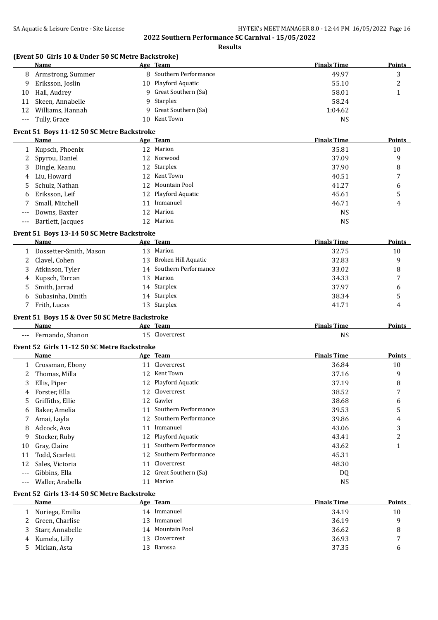|       | (Event 50 Girls 10 & Under 50 SC Metre Backstroke)<br>Name |    | Age Team                | <b>Finals Time</b> | <b>Points</b> |
|-------|------------------------------------------------------------|----|-------------------------|--------------------|---------------|
| 8     | Armstrong, Summer                                          |    | 8 Southern Performance  | 49.97              | 3             |
| 9     | Eriksson, Joslin                                           |    | 10 Playford Aquatic     | 55.10              | 2             |
| 10    | Hall, Audrey                                               | 9  | Great Southern (Sa)     | 58.01              | $\mathbf{1}$  |
| 11    | Skeen, Annabelle                                           | 9  | Starplex                | 58.24              |               |
| 12    | Williams, Hannah                                           | 9  | Great Southern (Sa)     | 1:04.62            |               |
|       | Tully, Grace                                               |    | 10 Kent Town            | <b>NS</b>          |               |
| $---$ |                                                            |    |                         |                    |               |
|       | Event 51 Boys 11-12 50 SC Metre Backstroke                 |    |                         |                    |               |
|       | Name                                                       |    | <u>Age Team</u>         | <b>Finals Time</b> | Points        |
| 1     | Kupsch, Phoenix                                            |    | 12 Marion               | 35.81              | 10            |
| 2     | Spyrou, Daniel                                             |    | 12 Norwood              | 37.09              | 9             |
| 3     | Dingle, Keanu                                              | 12 | Starplex                | 37.90              | 8             |
| 4     | Liu, Howard                                                | 12 | Kent Town               | 40.51              | 7             |
| 5     | Schulz, Nathan                                             | 12 | Mountain Pool           | 41.27              | 6             |
| 6     | Eriksson, Leif                                             | 12 | Playford Aquatic        | 45.61              | 5             |
| 7     | Small, Mitchell                                            | 11 | Immanuel                | 46.71              | 4             |
| $---$ | Downs, Baxter                                              | 12 | Marion                  | <b>NS</b>          |               |
| $---$ | Bartlett, Jacques                                          |    | 12 Marion               | <b>NS</b>          |               |
|       |                                                            |    |                         |                    |               |
|       | Event 51 Boys 13-14 50 SC Metre Backstroke                 |    |                         |                    |               |
|       | Name                                                       |    | Age Team                | <b>Finals Time</b> | Points        |
| 1     | Dossetter-Smith, Mason                                     |    | 13 Marion               | 32.75              | 10            |
| 2     | Clavel, Cohen                                              | 13 | Broken Hill Aquatic     | 32.83              | 9             |
| 3     | Atkinson, Tyler                                            |    | 14 Southern Performance | 33.02              | 8             |
| 4     | Kupsch, Tarcan                                             | 13 | Marion                  | 34.33              | 7             |
| 5     | Smith, Jarrad                                              | 14 | Starplex                | 37.97              | 6             |
| 6     | Subasinha, Dinith                                          | 14 | Starplex                | 38.34              | 5             |
| 7     | Frith, Lucas                                               |    | 13 Starplex             | 41.71              | 4             |
|       | Event 51 Boys 15 & Over 50 SC Metre Backstroke             |    |                         |                    |               |
|       | Name                                                       |    | Age Team                | <b>Finals Time</b> | <b>Points</b> |
|       | Fernando, Shanon                                           |    | 15 Clovercrest          | <b>NS</b>          |               |
|       |                                                            |    |                         |                    |               |
|       | Event 52 Girls 11-12 50 SC Metre Backstroke                |    |                         |                    |               |
|       | Name                                                       |    | Age Team                | <b>Finals Time</b> | <b>Points</b> |
| 1     | Crossman, Ebony                                            |    | 11 Clovercrest          | 36.84              | 10            |
| 2     | Thomas, Milla                                              |    | 12 Kent Town            | 37.16              | 9             |
| 3     | Ellis, Piper                                               |    | 12 Playford Aquatic     | 37.19              | 8             |
| 4     | Forster, Ella                                              |    | 12 Clovercrest          | 38.52              | 7             |
| 5     | Griffiths, Ellie                                           |    | 12 Gawler               | 38.68              | 6             |
| 6     | Baker, Amelia                                              | 11 | Southern Performance    | 39.53              | 5             |
| 7     | Amai, Layla                                                |    | 12 Southern Performance | 39.86              | 4             |
| 8     | Adcock, Ava                                                | 11 | Immanuel                | 43.06              | 3             |
| 9     | Stocker, Ruby                                              |    | 12 Playford Aquatic     | 43.41              | 2             |
| 10    | Gray, Claire                                               | 11 | Southern Performance    | 43.62              | $\mathbf{1}$  |
| 11    | Todd, Scarlett                                             | 12 | Southern Performance    | 45.31              |               |
| 12    | Sales, Victoria                                            |    | 11 Clovercrest          | 48.30              |               |
| ---   | Gibbins, Ella                                              |    | 12 Great Southern (Sa)  | DQ                 |               |
|       | Waller, Arabella                                           |    | 11 Marion               | <b>NS</b>          |               |
| ---   |                                                            |    |                         |                    |               |
|       | Event 52 Girls 13-14 50 SC Metre Backstroke                |    |                         |                    |               |
|       | Name                                                       |    | Age Team                | <b>Finals Time</b> | <b>Points</b> |
| 1     | Noriega, Emilia                                            |    | 14 Immanuel             | 34.19              | 10            |
| 2     | Green, Charlise                                            |    | 13 Immanuel             | 36.19              | 9             |
| 3     | Starr, Annabelle                                           |    | 14 Mountain Pool        | 36.62              | 8             |
| 4     | Kumela, Lilly                                              | 13 | Clovercrest             | 36.93              | 7             |
|       | Mickan, Asta                                               |    | 13 Barossa              | 37.35              | 6             |